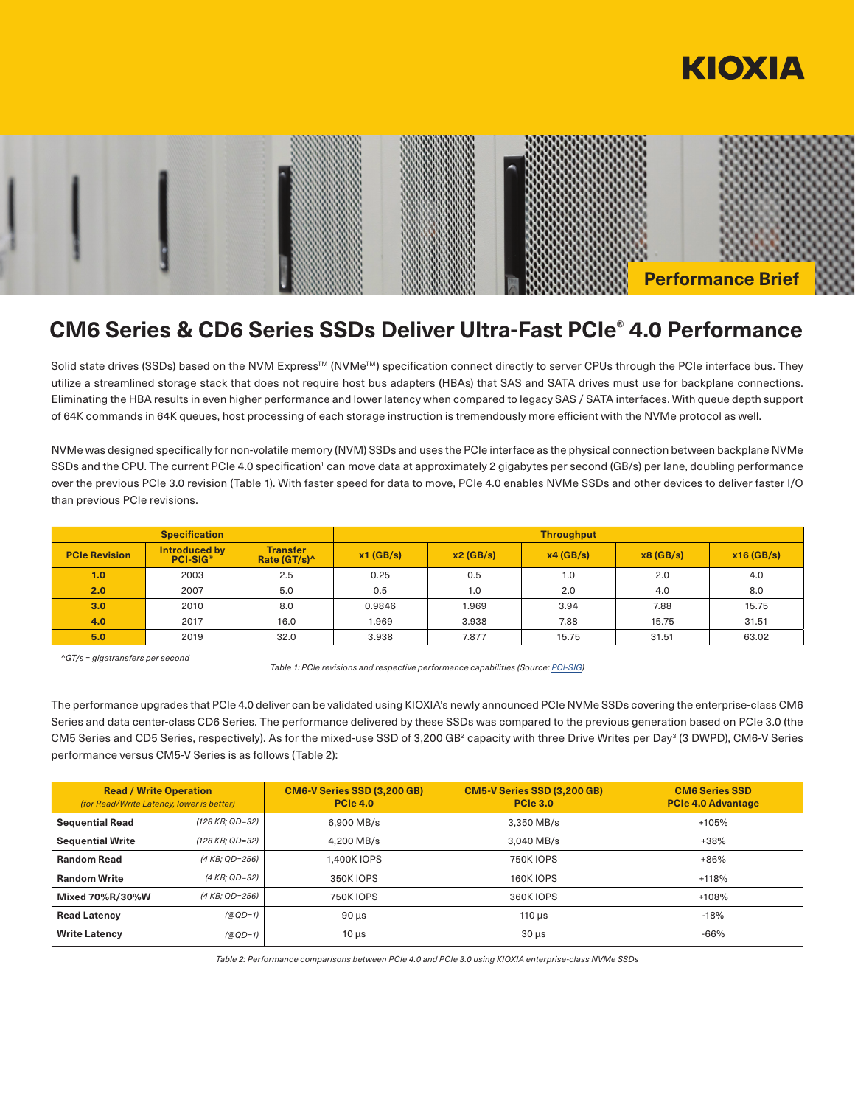



# **CM6 Series & CD6 Series SSDs Deliver Ultra-Fast PCIe® 4.0 Performance**

Solid state drives (SSDs) based on the NVM Express™ (NVMe™) specification connect directly to server CPUs through the PCIe interface bus. They utilize a streamlined storage stack that does not require host bus adapters (HBAs) that SAS and SATA drives must use for backplane connections. Eliminating the HBA results in even higher performance and lower latency when compared to legacy SAS / SATA interfaces. With queue depth support of 64K commands in 64K queues, host processing of each storage instruction is tremendously more efficient with the NVMe protocol as well.

NVMe was designed specifically for non-volatile memory (NVM) SSDs and uses the PCIe interface as the physical connection between backplane NVMe SSDs and the CPU. The current PCIe 4.0 specification<sup>1</sup> can move data at approximately 2 gigabytes per second (GB/s) per lane, doubling performance over the previous PCIe 3.0 revision (Table 1). With faster speed for data to move, PCIe 4.0 enables NVMe SSDs and other devices to deliver faster I/O than previous PCIe revisions.

| <b>Specification</b> |                                       |                                             | <b>Throughput</b> |          |          |          |              |
|----------------------|---------------------------------------|---------------------------------------------|-------------------|----------|----------|----------|--------------|
| <b>PCIe Revision</b> | Introduced by<br>PCI-SIG <sup>®</sup> | <b>Transfer</b><br>Rate (GT/s) <sup>^</sup> | $x1$ (GB/s)       | x2(GB/s) | x4(GB/s) | x8(GB/s) | $x16$ (GB/s) |
| 1.0                  | 2003                                  | 2.5                                         | 0.25              | 0.5      | 1.0      | 2.0      | 4.0          |
| 2.0                  | 2007                                  | 5.0                                         | 0.5               | 1.0      | 2.0      | 4.0      | 8.0          |
| 3.0                  | 2010                                  | 8.0                                         | 0.9846            | 1.969    | 3.94     | 7.88     | 15.75        |
| 4.0                  | 2017                                  | 16.0                                        | 1.969             | 3.938    | 7.88     | 15.75    | 31.51        |
| 5.0                  | 2019                                  | 32.0                                        | 3.938             | 7.877    | 15.75    | 31.51    | 63.02        |

*^GT/s = gigatransfers per second* 

*Table 1: PCIe revisions and respective performance capabilities (Source: PCI-SIG)*

The performance upgrades that PCIe 4.0 deliver can be validated using KIOXIA's newly announced PCIe NVMe SSDs covering the enterprise-class CM6 Series and data center-class CD6 Series. The performance delivered by these SSDs was compared to the previous generation based on PCIe 3.0 (the CM5 Series and CD5 Series, respectively). As for the mixed-use SSD of 3,200 GB<sup>2</sup> capacity with three Drive Writes per Day<sup>3</sup> (3 DWPD), CM6-V Series performance versus CM5-V Series is as follows (Table 2):

| <b>Read / Write Operation</b><br>(for Read/Write Latency, lower is better) |                 | <b>CM6-V Series SSD (3,200 GB)</b><br><b>PCIe 4.0</b> | <b>CM5-V Series SSD (3,200 GB)</b><br><b>PCIe 3.0</b> | <b>CM6 Series SSD</b><br><b>PCIe 4.0 Advantage</b> |
|----------------------------------------------------------------------------|-----------------|-------------------------------------------------------|-------------------------------------------------------|----------------------------------------------------|
| <b>Sequential Read</b>                                                     | (128 KB: QD=32) | 6.900 MB/s                                            | 3,350 MB/s                                            | +105%                                              |
| <b>Sequential Write</b>                                                    | (128 KB: QD=32) | 4.200 MB/s                                            | 3.040 MB/s                                            | $+38%$                                             |
| <b>Random Read</b>                                                         | (4 KB: QD=256)  | 1.400K IOPS                                           | <b>750K IOPS</b>                                      | $+86%$                                             |
| <b>Random Write</b>                                                        | (4 KB; QD=32)   | 350K IOPS                                             | <b>160K IOPS</b>                                      | $+118%$                                            |
| Mixed 70%R/30%W                                                            | (4 KB; QD=256)  | <b>750K IOPS</b>                                      | <b>360K IOPS</b>                                      | $+108%$                                            |
| <b>Read Latency</b>                                                        | $(QQD=1)$       | $90 \mu s$                                            | $110 \mu s$                                           | $-18%$                                             |
| <b>Write Latency</b>                                                       | $(QQD=1)$       | $10 \mu s$                                            | $30 \mu s$                                            | $-66%$                                             |

*Table 2: Performance comparisons between PCIe 4.0 and PCIe 3.0 using KIOXIA enterprise-class NVMe SSDs*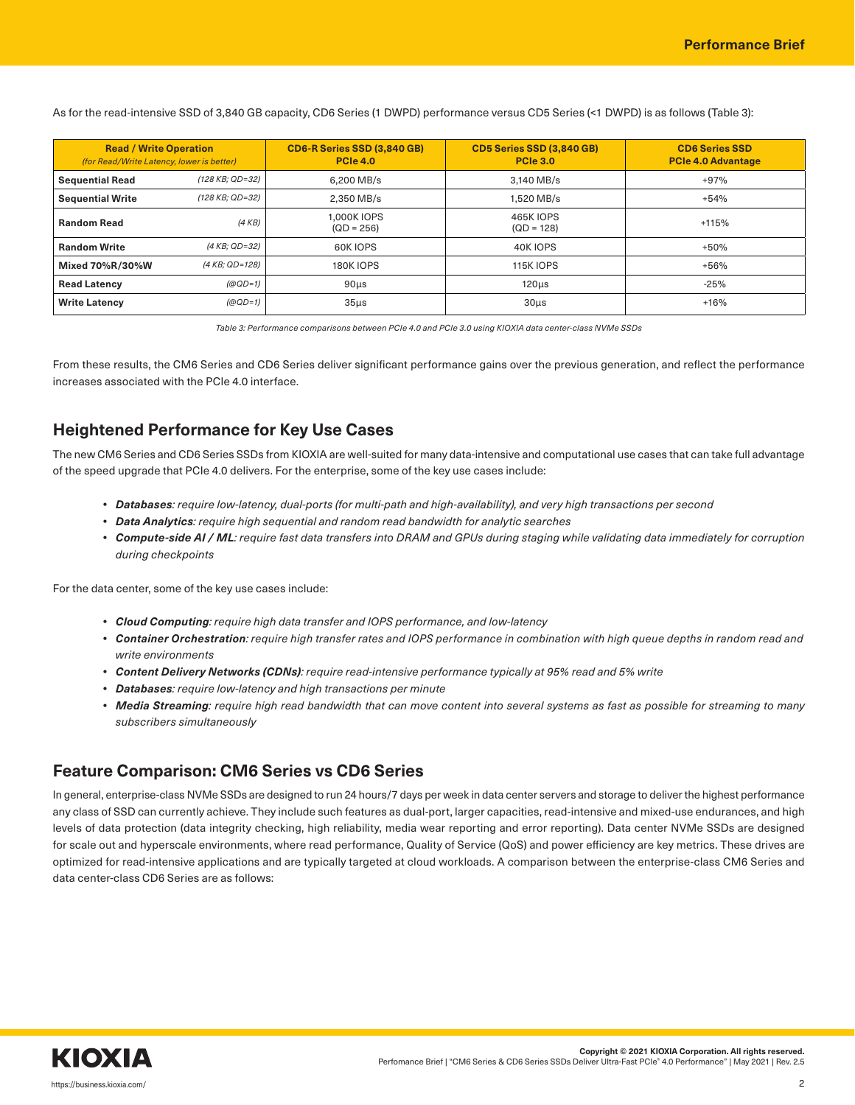**Read / Write Operation** *(for Read/Write Latency, lower is better)* **CD6-R Series SSD (3,840 GB) PCIe 4.0 CD5 Series SSD (3,840 GB) PCIe 3.0 CD6 Series SSD PCIe 4.0 Advantage Sequential Read**  $(128 KB; QD=32)$  6,200 MB/s 3,140 MB/s 3,140 MB/s +97% **Sequential Write**  $(128 \text{ KB}; \text{QD}=32)$  2,350 MB/s 1,520 MB/s 1,520 MB/s +54% **Random Read** (4 KB) 1,000K IOPS  $(QD = 256)$ 465K IOPS (QD = 128) +115% **Random Write** *(4 KB; QD=32)* 60K IOPS 40K IOPS +50% **Mixed 70%R/30%W**  $(4 KB; QD=128)$  180K IOPS 115K IOPS 115K IOPS +56% **Read Latency** *(@QD=1)* 90µs 120µs -25% **Write Latency** *(@QD=1)* 35µs 30µs +16%

As for the read-intensive SSD of 3,840 GB capacity, CD6 Series (1 DWPD) performance versus CD5 Series (<1 DWPD) is as follows (Table 3):

*Table 3: Performance comparisons between PCIe 4.0 and PCIe 3.0 using KIOXIA data center-class NVMe SSDs*

From these results, the CM6 Series and CD6 Series deliver significant performance gains over the previous generation, and reflect the performance increases associated with the PCIe 4.0 interface.

## **Heightened Performance for Key Use Cases**

The new CM6 Series and CD6 Series SSDs from KIOXIA are well-suited for many data-intensive and computational use cases that can take full advantage of the speed upgrade that PCIe 4.0 delivers. For the enterprise, some of the key use cases include:

- *• Databases: require low-latency, dual-ports (for multi-path and high-availability), and very high transactions per second*
- *• Data Analytics: require high sequential and random read bandwidth for analytic searches*
- *• Compute-side AI / ML: require fast data transfers into DRAM and GPUs during staging while validating data immediately for corruption during checkpoints*

For the data center, some of the key use cases include:

- *• Cloud Computing: require high data transfer and IOPS performance, and low-latency*
- Container Orchestration: require high transfer rates and IOPS performance in combination with high queue depths in random read and *write environments*
- *• Content Delivery Networks (CDNs): require read-intensive performance typically at 95% read and 5% write*
- *• Databases: require low-latency and high transactions per minute*
- Media Streaming: require high read bandwidth that can move content into several systems as fast as possible for streaming to many *subscribers simultaneously*

### **Feature Comparison: CM6 Series vs CD6 Series**

In general, enterprise-class NVMe SSDs are designed to run 24 hours/7 days per week in data center servers and storage to deliver the highest performance any class of SSD can currently achieve. They include such features as dual-port, larger capacities, read-intensive and mixed-use endurances, and high levels of data protection (data integrity checking, high reliability, media wear reporting and error reporting). Data center NVMe SSDs are designed for scale out and hyperscale environments, where read performance, Quality of Service (QoS) and power efficiency are key metrics. These drives are optimized for read-intensive applications and are typically targeted at cloud workloads. A comparison between the enterprise-class CM6 Series and data center-class CD6 Series are as follows: